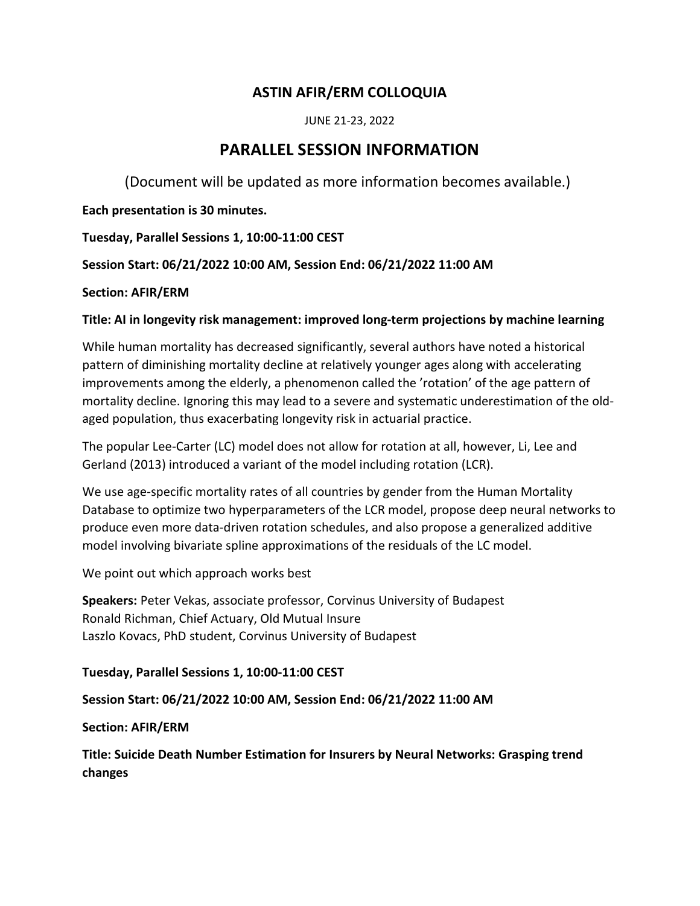# ASTIN AFIR/ERM COLLOQUIA

JUNE 21-23, 2022

# PARALLEL SESSION INFORMATION

(Document will be updated as more information becomes available.)

Each presentation is 30 minutes.

Tuesday, Parallel Sessions 1, 10:00-11:00 CEST

Session Start: 06/21/2022 10:00 AM, Session End: 06/21/2022 11:00 AM

Section: AFIR/ERM

# Title: AI in longevity risk management: improved long-term projections by machine learning

While human mortality has decreased significantly, several authors have noted a historical pattern of diminishing mortality decline at relatively younger ages along with accelerating improvements among the elderly, a phenomenon called the 'rotation' of the age pattern of mortality decline. Ignoring this may lead to a severe and systematic underestimation of the oldaged population, thus exacerbating longevity risk in actuarial practice.

The popular Lee-Carter (LC) model does not allow for rotation at all, however, Li, Lee and Gerland (2013) introduced a variant of the model including rotation (LCR).

We use age-specific mortality rates of all countries by gender from the Human Mortality Database to optimize two hyperparameters of the LCR model, propose deep neural networks to produce even more data-driven rotation schedules, and also propose a generalized additive model involving bivariate spline approximations of the residuals of the LC model.

We point out which approach works best

Speakers: Peter Vekas, associate professor, Corvinus University of Budapest Ronald Richman, Chief Actuary, Old Mutual Insure Laszlo Kovacs, PhD student, Corvinus University of Budapest

# Tuesday, Parallel Sessions 1, 10:00-11:00 CEST

# Session Start: 06/21/2022 10:00 AM, Session End: 06/21/2022 11:00 AM

Section: AFIR/ERM

Title: Suicide Death Number Estimation for Insurers by Neural Networks: Grasping trend changes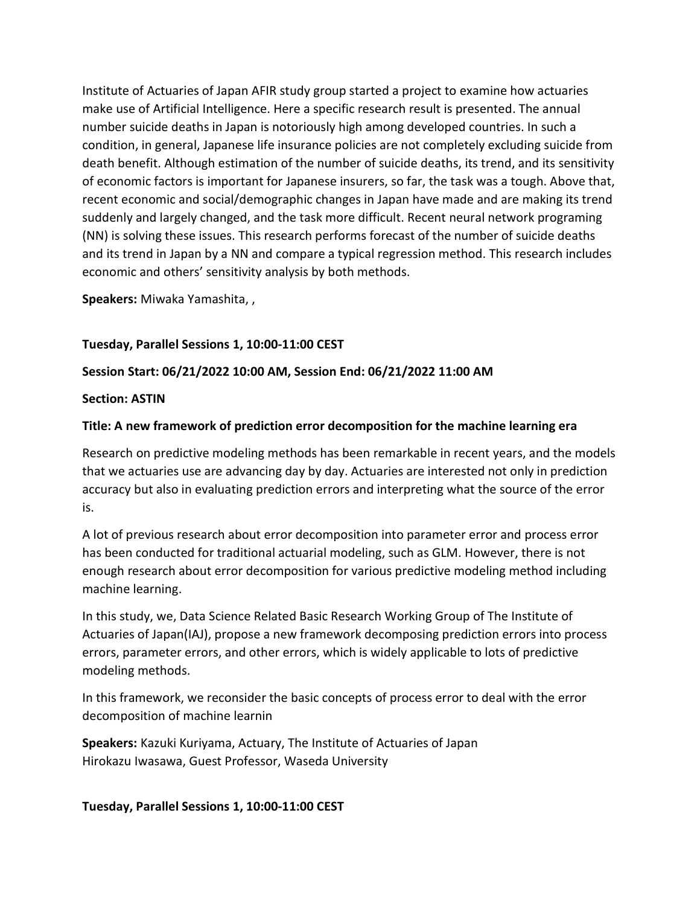Institute of Actuaries of Japan AFIR study group started a project to examine how actuaries make use of Artificial Intelligence. Here a specific research result is presented. The annual number suicide deaths in Japan is notoriously high among developed countries. In such a condition, in general, Japanese life insurance policies are not completely excluding suicide from death benefit. Although estimation of the number of suicide deaths, its trend, and its sensitivity of economic factors is important for Japanese insurers, so far, the task was a tough. Above that, recent economic and social/demographic changes in Japan have made and are making its trend suddenly and largely changed, and the task more difficult. Recent neural network programing (NN) is solving these issues. This research performs forecast of the number of suicide deaths and its trend in Japan by a NN and compare a typical regression method. This research includes economic and others' sensitivity analysis by both methods.

Speakers: Miwaka Yamashita, ,

# Tuesday, Parallel Sessions 1, 10:00-11:00 CEST

### Session Start: 06/21/2022 10:00 AM, Session End: 06/21/2022 11:00 AM

#### Section: ASTIN

### Title: A new framework of prediction error decomposition for the machine learning era

Research on predictive modeling methods has been remarkable in recent years, and the models that we actuaries use are advancing day by day. Actuaries are interested not only in prediction accuracy but also in evaluating prediction errors and interpreting what the source of the error is.

A lot of previous research about error decomposition into parameter error and process error has been conducted for traditional actuarial modeling, such as GLM. However, there is not enough research about error decomposition for various predictive modeling method including machine learning.

In this study, we, Data Science Related Basic Research Working Group of The Institute of Actuaries of Japan(IAJ), propose a new framework decomposing prediction errors into process errors, parameter errors, and other errors, which is widely applicable to lots of predictive modeling methods.

In this framework, we reconsider the basic concepts of process error to deal with the error decomposition of machine learnin

Speakers: Kazuki Kuriyama, Actuary, The Institute of Actuaries of Japan Hirokazu Iwasawa, Guest Professor, Waseda University

#### Tuesday, Parallel Sessions 1, 10:00-11:00 CEST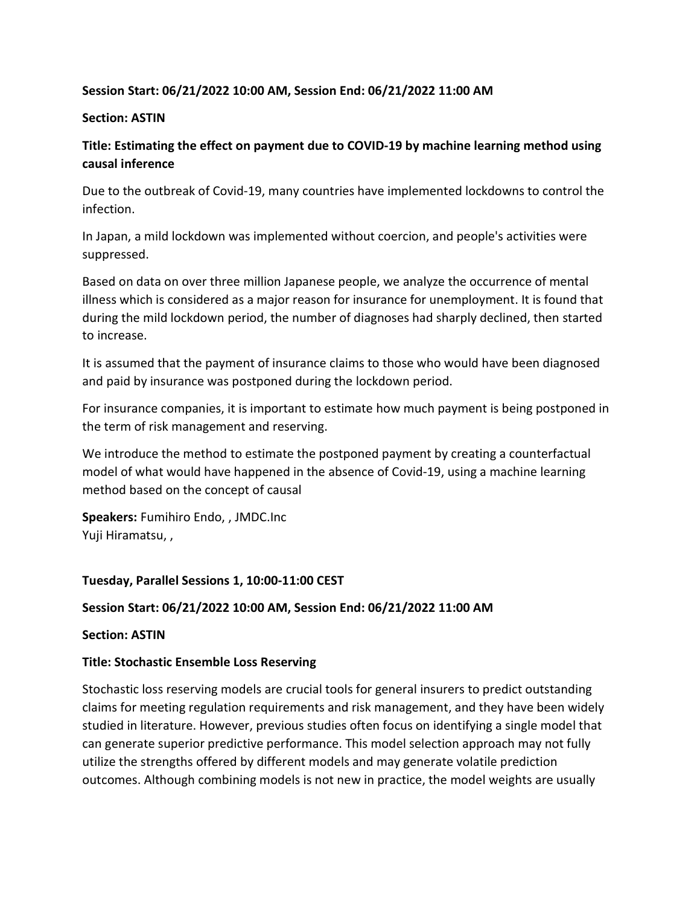### Session Start: 06/21/2022 10:00 AM, Session End: 06/21/2022 11:00 AM

#### Section: ASTIN

# Title: Estimating the effect on payment due to COVID-19 by machine learning method using causal inference

Due to the outbreak of Covid-19, many countries have implemented lockdowns to control the infection.

In Japan, a mild lockdown was implemented without coercion, and people's activities were suppressed.

Based on data on over three million Japanese people, we analyze the occurrence of mental illness which is considered as a major reason for insurance for unemployment. It is found that during the mild lockdown period, the number of diagnoses had sharply declined, then started to increase.

It is assumed that the payment of insurance claims to those who would have been diagnosed and paid by insurance was postponed during the lockdown period.

For insurance companies, it is important to estimate how much payment is being postponed in the term of risk management and reserving.

We introduce the method to estimate the postponed payment by creating a counterfactual model of what would have happened in the absence of Covid-19, using a machine learning method based on the concept of causal

Speakers: Fumihiro Endo, , JMDC.Inc Yuji Hiramatsu, ,

#### Tuesday, Parallel Sessions 1, 10:00-11:00 CEST

#### Session Start: 06/21/2022 10:00 AM, Session End: 06/21/2022 11:00 AM

Section: ASTIN

#### Title: Stochastic Ensemble Loss Reserving

Stochastic loss reserving models are crucial tools for general insurers to predict outstanding claims for meeting regulation requirements and risk management, and they have been widely studied in literature. However, previous studies often focus on identifying a single model that can generate superior predictive performance. This model selection approach may not fully utilize the strengths offered by different models and may generate volatile prediction outcomes. Although combining models is not new in practice, the model weights are usually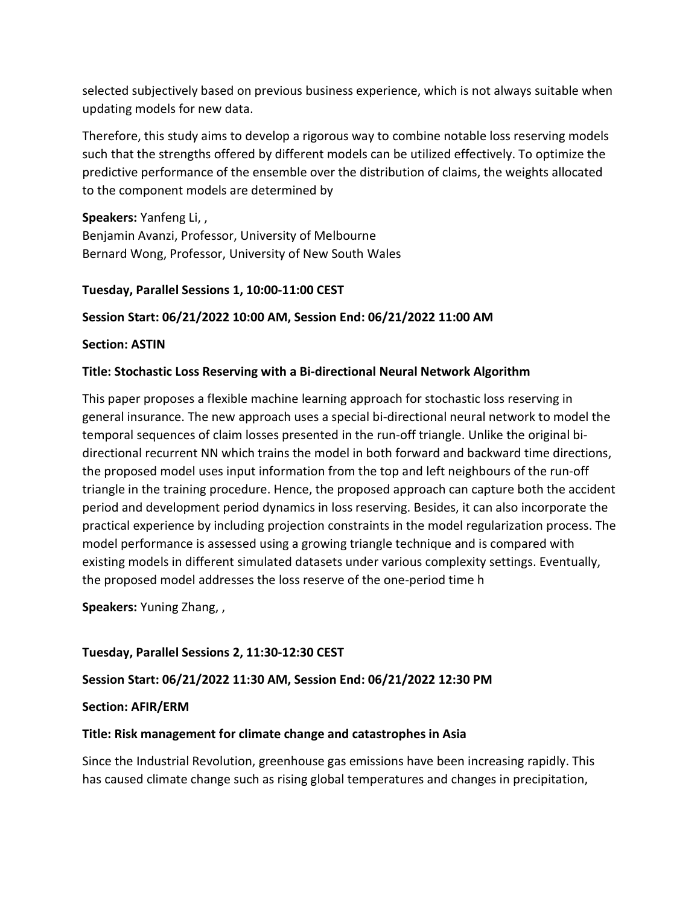selected subjectively based on previous business experience, which is not always suitable when updating models for new data.

Therefore, this study aims to develop a rigorous way to combine notable loss reserving models such that the strengths offered by different models can be utilized effectively. To optimize the predictive performance of the ensemble over the distribution of claims, the weights allocated to the component models are determined by

Speakers: Yanfeng Li, ,

Benjamin Avanzi, Professor, University of Melbourne Bernard Wong, Professor, University of New South Wales

### Tuesday, Parallel Sessions 1, 10:00-11:00 CEST

# Session Start: 06/21/2022 10:00 AM, Session End: 06/21/2022 11:00 AM

#### Section: ASTIN

#### Title: Stochastic Loss Reserving with a Bi-directional Neural Network Algorithm

This paper proposes a flexible machine learning approach for stochastic loss reserving in general insurance. The new approach uses a special bi-directional neural network to model the temporal sequences of claim losses presented in the run-off triangle. Unlike the original bidirectional recurrent NN which trains the model in both forward and backward time directions, the proposed model uses input information from the top and left neighbours of the run-off triangle in the training procedure. Hence, the proposed approach can capture both the accident period and development period dynamics in loss reserving. Besides, it can also incorporate the practical experience by including projection constraints in the model regularization process. The model performance is assessed using a growing triangle technique and is compared with existing models in different simulated datasets under various complexity settings. Eventually, the proposed model addresses the loss reserve of the one-period time h

Speakers: Yuning Zhang, ,

# Tuesday, Parallel Sessions 2, 11:30-12:30 CEST

# Session Start: 06/21/2022 11:30 AM, Session End: 06/21/2022 12:30 PM

#### Section: AFIR/ERM

# Title: Risk management for climate change and catastrophes in Asia

Since the Industrial Revolution, greenhouse gas emissions have been increasing rapidly. This has caused climate change such as rising global temperatures and changes in precipitation,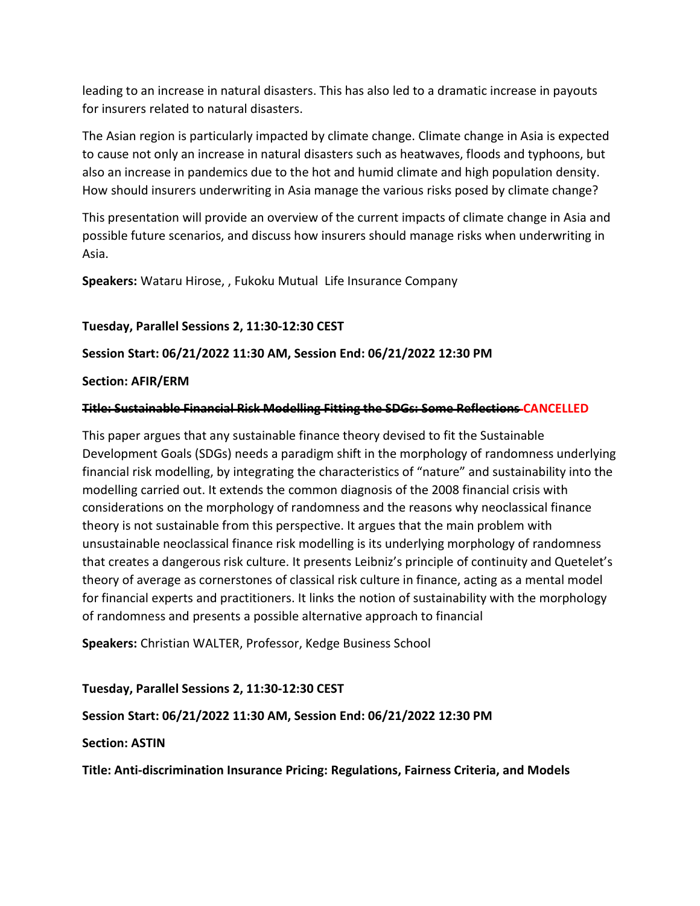leading to an increase in natural disasters. This has also led to a dramatic increase in payouts for insurers related to natural disasters.

The Asian region is particularly impacted by climate change. Climate change in Asia is expected to cause not only an increase in natural disasters such as heatwaves, floods and typhoons, but also an increase in pandemics due to the hot and humid climate and high population density. How should insurers underwriting in Asia manage the various risks posed by climate change?

This presentation will provide an overview of the current impacts of climate change in Asia and possible future scenarios, and discuss how insurers should manage risks when underwriting in Asia.

Speakers: Wataru Hirose, , Fukoku Mutual Life Insurance Company

# Tuesday, Parallel Sessions 2, 11:30-12:30 CEST

#### Session Start: 06/21/2022 11:30 AM, Session End: 06/21/2022 12:30 PM

#### Section: AFIR/ERM

### Title: Sustainable Financial Risk Modelling Fitting the SDGs: Some Reflections CANCELLED

This paper argues that any sustainable finance theory devised to fit the Sustainable Development Goals (SDGs) needs a paradigm shift in the morphology of randomness underlying financial risk modelling, by integrating the characteristics of "nature" and sustainability into the modelling carried out. It extends the common diagnosis of the 2008 financial crisis with considerations on the morphology of randomness and the reasons why neoclassical finance theory is not sustainable from this perspective. It argues that the main problem with unsustainable neoclassical finance risk modelling is its underlying morphology of randomness that creates a dangerous risk culture. It presents Leibniz's principle of continuity and Quetelet's theory of average as cornerstones of classical risk culture in finance, acting as a mental model for financial experts and practitioners. It links the notion of sustainability with the morphology of randomness and presents a possible alternative approach to financial

Speakers: Christian WALTER, Professor, Kedge Business School

#### Tuesday, Parallel Sessions 2, 11:30-12:30 CEST

# Session Start: 06/21/2022 11:30 AM, Session End: 06/21/2022 12:30 PM

#### Section: ASTIN

Title: Anti-discrimination Insurance Pricing: Regulations, Fairness Criteria, and Models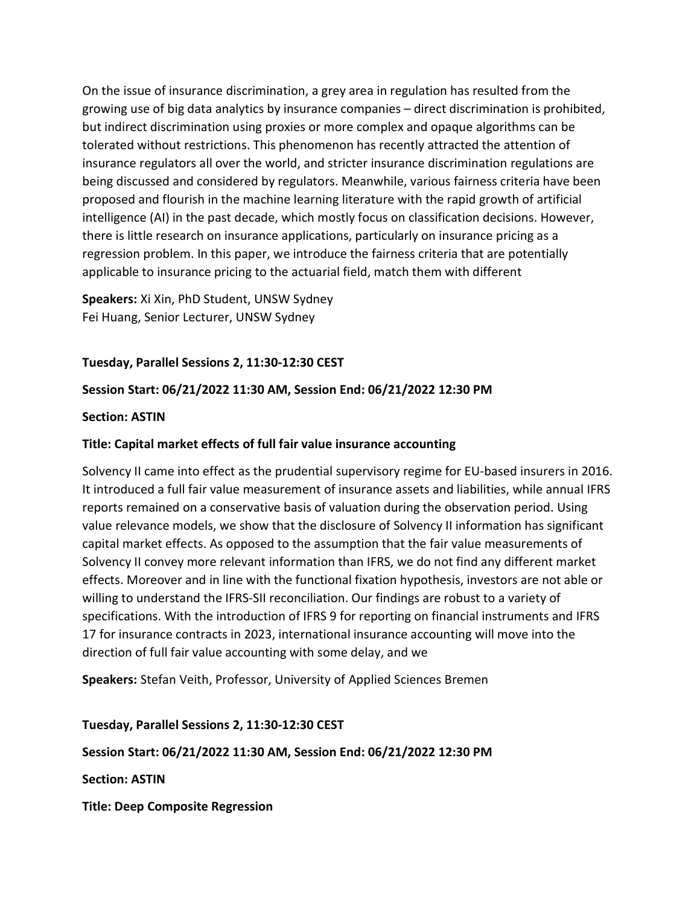On the issue of insurance discrimination, a grey area in regulation has resulted from the growing use of big data analytics by insurance companies – direct discrimination is prohibited, but indirect discrimination using proxies or more complex and opaque algorithms can be tolerated without restrictions. This phenomenon has recently attracted the attention of insurance regulators all over the world, and stricter insurance discrimination regulations are being discussed and considered by regulators. Meanwhile, various fairness criteria have been proposed and flourish in the machine learning literature with the rapid growth of artificial intelligence (AI) in the past decade, which mostly focus on classification decisions. However, there is little research on insurance applications, particularly on insurance pricing as a regression problem. In this paper, we introduce the fairness criteria that are potentially applicable to insurance pricing to the actuarial field, match them with different

Speakers: Xi Xin, PhD Student, UNSW Sydney Fei Huang, Senior Lecturer, UNSW Sydney

### Tuesday, Parallel Sessions 2, 11:30-12:30 CEST

### Session Start: 06/21/2022 11:30 AM, Session End: 06/21/2022 12:30 PM

#### Section: ASTIN

#### Title: Capital market effects of full fair value insurance accounting

Solvency II came into effect as the prudential supervisory regime for EU-based insurers in 2016. It introduced a full fair value measurement of insurance assets and liabilities, while annual IFRS reports remained on a conservative basis of valuation during the observation period. Using value relevance models, we show that the disclosure of Solvency II information has significant capital market effects. As opposed to the assumption that the fair value measurements of Solvency II convey more relevant information than IFRS, we do not find any different market effects. Moreover and in line with the functional fixation hypothesis, investors are not able or willing to understand the IFRS-SII reconciliation. Our findings are robust to a variety of specifications. With the introduction of IFRS 9 for reporting on financial instruments and IFRS 17 for insurance contracts in 2023, international insurance accounting will move into the direction of full fair value accounting with some delay, and we

Speakers: Stefan Veith, Professor, University of Applied Sciences Bremen

#### Tuesday, Parallel Sessions 2, 11:30-12:30 CEST

#### Session Start: 06/21/2022 11:30 AM, Session End: 06/21/2022 12:30 PM

Section: ASTIN

Title: Deep Composite Regression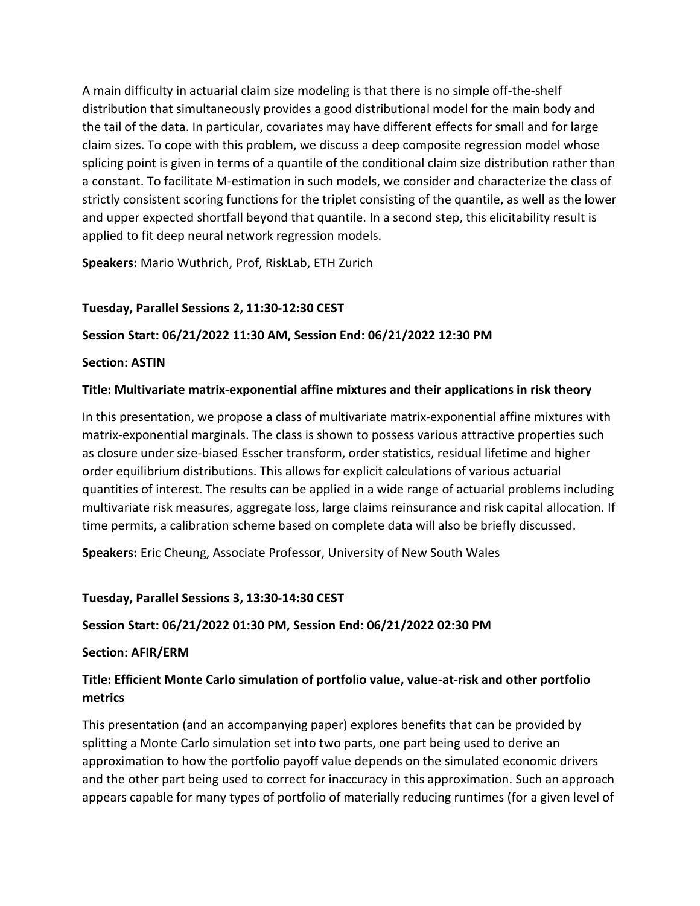A main difficulty in actuarial claim size modeling is that there is no simple off-the-shelf distribution that simultaneously provides a good distributional model for the main body and the tail of the data. In particular, covariates may have different effects for small and for large claim sizes. To cope with this problem, we discuss a deep composite regression model whose splicing point is given in terms of a quantile of the conditional claim size distribution rather than a constant. To facilitate M-estimation in such models, we consider and characterize the class of strictly consistent scoring functions for the triplet consisting of the quantile, as well as the lower and upper expected shortfall beyond that quantile. In a second step, this elicitability result is applied to fit deep neural network regression models.

Speakers: Mario Wuthrich, Prof, RiskLab, ETH Zurich

# Tuesday, Parallel Sessions 2, 11:30-12:30 CEST

# Session Start: 06/21/2022 11:30 AM, Session End: 06/21/2022 12:30 PM

### Section: ASTIN

### Title: Multivariate matrix-exponential affine mixtures and their applications in risk theory

In this presentation, we propose a class of multivariate matrix-exponential affine mixtures with matrix-exponential marginals. The class is shown to possess various attractive properties such as closure under size-biased Esscher transform, order statistics, residual lifetime and higher order equilibrium distributions. This allows for explicit calculations of various actuarial quantities of interest. The results can be applied in a wide range of actuarial problems including multivariate risk measures, aggregate loss, large claims reinsurance and risk capital allocation. If time permits, a calibration scheme based on complete data will also be briefly discussed.

Speakers: Eric Cheung, Associate Professor, University of New South Wales

#### Tuesday, Parallel Sessions 3, 13:30-14:30 CEST

# Session Start: 06/21/2022 01:30 PM, Session End: 06/21/2022 02:30 PM

#### Section: AFIR/ERM

# Title: Efficient Monte Carlo simulation of portfolio value, value-at-risk and other portfolio metrics

This presentation (and an accompanying paper) explores benefits that can be provided by splitting a Monte Carlo simulation set into two parts, one part being used to derive an approximation to how the portfolio payoff value depends on the simulated economic drivers and the other part being used to correct for inaccuracy in this approximation. Such an approach appears capable for many types of portfolio of materially reducing runtimes (for a given level of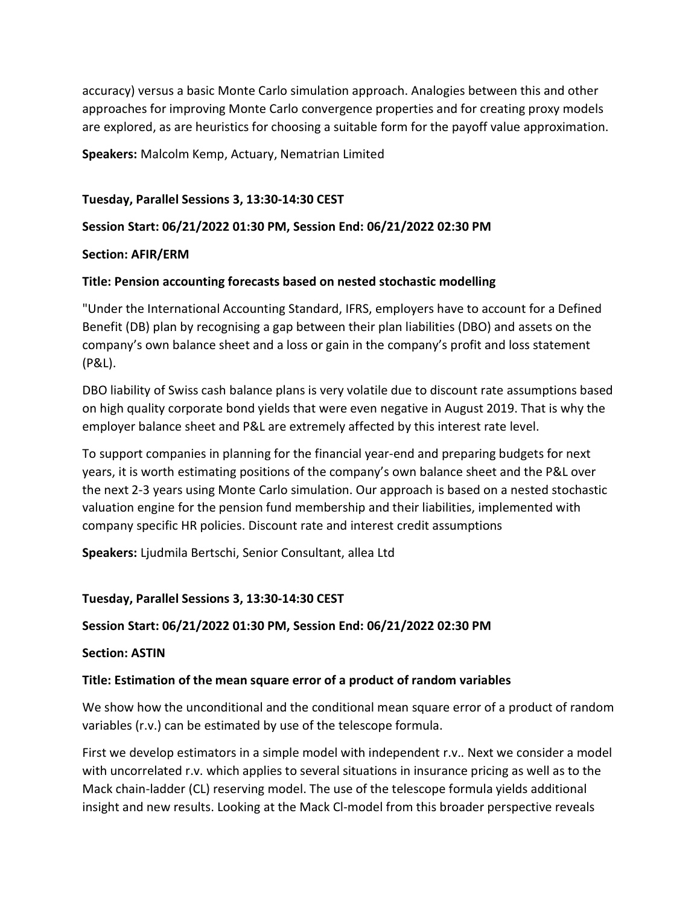accuracy) versus a basic Monte Carlo simulation approach. Analogies between this and other approaches for improving Monte Carlo convergence properties and for creating proxy models are explored, as are heuristics for choosing a suitable form for the payoff value approximation.

Speakers: Malcolm Kemp, Actuary, Nematrian Limited

#### Tuesday, Parallel Sessions 3, 13:30-14:30 CEST

#### Session Start: 06/21/2022 01:30 PM, Session End: 06/21/2022 02:30 PM

#### Section: AFIR/ERM

#### Title: Pension accounting forecasts based on nested stochastic modelling

"Under the International Accounting Standard, IFRS, employers have to account for a Defined Benefit (DB) plan by recognising a gap between their plan liabilities (DBO) and assets on the company's own balance sheet and a loss or gain in the company's profit and loss statement (P&L).

DBO liability of Swiss cash balance plans is very volatile due to discount rate assumptions based on high quality corporate bond yields that were even negative in August 2019. That is why the employer balance sheet and P&L are extremely affected by this interest rate level.

To support companies in planning for the financial year-end and preparing budgets for next years, it is worth estimating positions of the company's own balance sheet and the P&L over the next 2-3 years using Monte Carlo simulation. Our approach is based on a nested stochastic valuation engine for the pension fund membership and their liabilities, implemented with company specific HR policies. Discount rate and interest credit assumptions

Speakers: Ljudmila Bertschi, Senior Consultant, allea Ltd

#### Tuesday, Parallel Sessions 3, 13:30-14:30 CEST

#### Session Start: 06/21/2022 01:30 PM, Session End: 06/21/2022 02:30 PM

Section: ASTIN

#### Title: Estimation of the mean square error of a product of random variables

We show how the unconditional and the conditional mean square error of a product of random variables (r.v.) can be estimated by use of the telescope formula.

First we develop estimators in a simple model with independent r.v.. Next we consider a model with uncorrelated r.v. which applies to several situations in insurance pricing as well as to the Mack chain-ladder (CL) reserving model. The use of the telescope formula yields additional insight and new results. Looking at the Mack Cl-model from this broader perspective reveals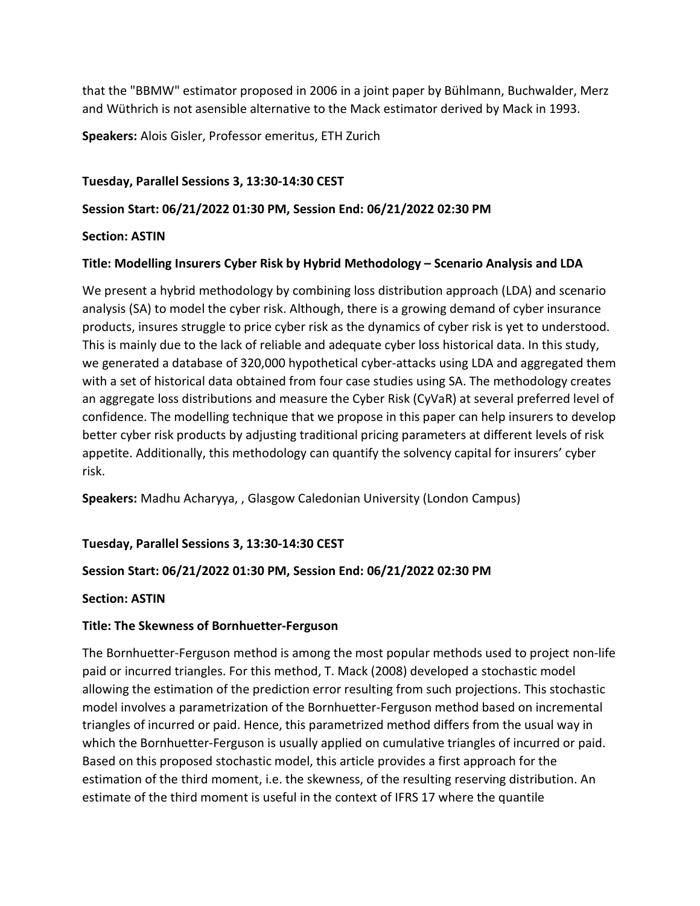that the "BBMW" estimator proposed in 2006 in a joint paper by Bühlmann, Buchwalder, Merz and Wüthrich is not asensible alternative to the Mack estimator derived by Mack in 1993.

Speakers: Alois Gisler, Professor emeritus, ETH Zurich

### Tuesday, Parallel Sessions 3, 13:30-14:30 CEST

### Session Start: 06/21/2022 01:30 PM, Session End: 06/21/2022 02:30 PM

#### Section: ASTIN

### Title: Modelling Insurers Cyber Risk by Hybrid Methodology – Scenario Analysis and LDA

We present a hybrid methodology by combining loss distribution approach (LDA) and scenario analysis (SA) to model the cyber risk. Although, there is a growing demand of cyber insurance products, insures struggle to price cyber risk as the dynamics of cyber risk is yet to understood. This is mainly due to the lack of reliable and adequate cyber loss historical data. In this study, we generated a database of 320,000 hypothetical cyber-attacks using LDA and aggregated them with a set of historical data obtained from four case studies using SA. The methodology creates an aggregate loss distributions and measure the Cyber Risk (CyVaR) at several preferred level of confidence. The modelling technique that we propose in this paper can help insurers to develop better cyber risk products by adjusting traditional pricing parameters at different levels of risk appetite. Additionally, this methodology can quantify the solvency capital for insurers' cyber risk.

Speakers: Madhu Acharyya, , Glasgow Caledonian University (London Campus)

# Tuesday, Parallel Sessions 3, 13:30-14:30 CEST

# Session Start: 06/21/2022 01:30 PM, Session End: 06/21/2022 02:30 PM

#### Section: ASTIN

# Title: The Skewness of Bornhuetter-Ferguson

The Bornhuetter-Ferguson method is among the most popular methods used to project non-life paid or incurred triangles. For this method, T. Mack (2008) developed a stochastic model allowing the estimation of the prediction error resulting from such projections. This stochastic model involves a parametrization of the Bornhuetter-Ferguson method based on incremental triangles of incurred or paid. Hence, this parametrized method differs from the usual way in which the Bornhuetter-Ferguson is usually applied on cumulative triangles of incurred or paid. Based on this proposed stochastic model, this article provides a first approach for the estimation of the third moment, i.e. the skewness, of the resulting reserving distribution. An estimate of the third moment is useful in the context of IFRS 17 where the quantile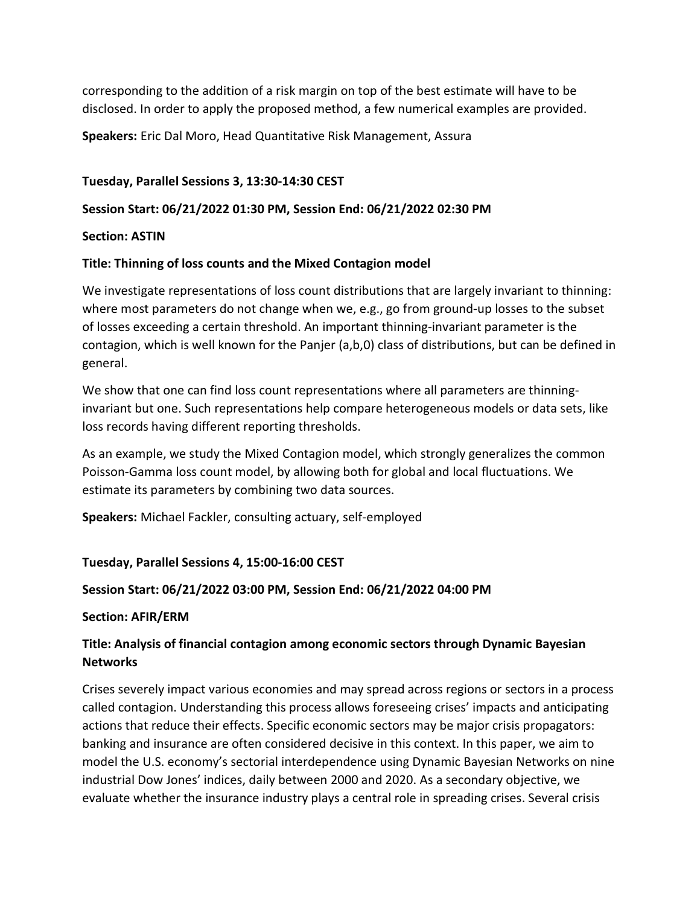corresponding to the addition of a risk margin on top of the best estimate will have to be disclosed. In order to apply the proposed method, a few numerical examples are provided.

Speakers: Eric Dal Moro, Head Quantitative Risk Management, Assura

### Tuesday, Parallel Sessions 3, 13:30-14:30 CEST

### Session Start: 06/21/2022 01:30 PM, Session End: 06/21/2022 02:30 PM

#### Section: ASTIN

### Title: Thinning of loss counts and the Mixed Contagion model

We investigate representations of loss count distributions that are largely invariant to thinning: where most parameters do not change when we, e.g., go from ground-up losses to the subset of losses exceeding a certain threshold. An important thinning-invariant parameter is the contagion, which is well known for the Panjer (a,b,0) class of distributions, but can be defined in general.

We show that one can find loss count representations where all parameters are thinninginvariant but one. Such representations help compare heterogeneous models or data sets, like loss records having different reporting thresholds.

As an example, we study the Mixed Contagion model, which strongly generalizes the common Poisson-Gamma loss count model, by allowing both for global and local fluctuations. We estimate its parameters by combining two data sources.

Speakers: Michael Fackler, consulting actuary, self-employed

#### Tuesday, Parallel Sessions 4, 15:00-16:00 CEST

#### Session Start: 06/21/2022 03:00 PM, Session End: 06/21/2022 04:00 PM

#### Section: AFIR/ERM

# Title: Analysis of financial contagion among economic sectors through Dynamic Bayesian **Networks**

Crises severely impact various economies and may spread across regions or sectors in a process called contagion. Understanding this process allows foreseeing crises' impacts and anticipating actions that reduce their effects. Specific economic sectors may be major crisis propagators: banking and insurance are often considered decisive in this context. In this paper, we aim to model the U.S. economy's sectorial interdependence using Dynamic Bayesian Networks on nine industrial Dow Jones' indices, daily between 2000 and 2020. As a secondary objective, we evaluate whether the insurance industry plays a central role in spreading crises. Several crisis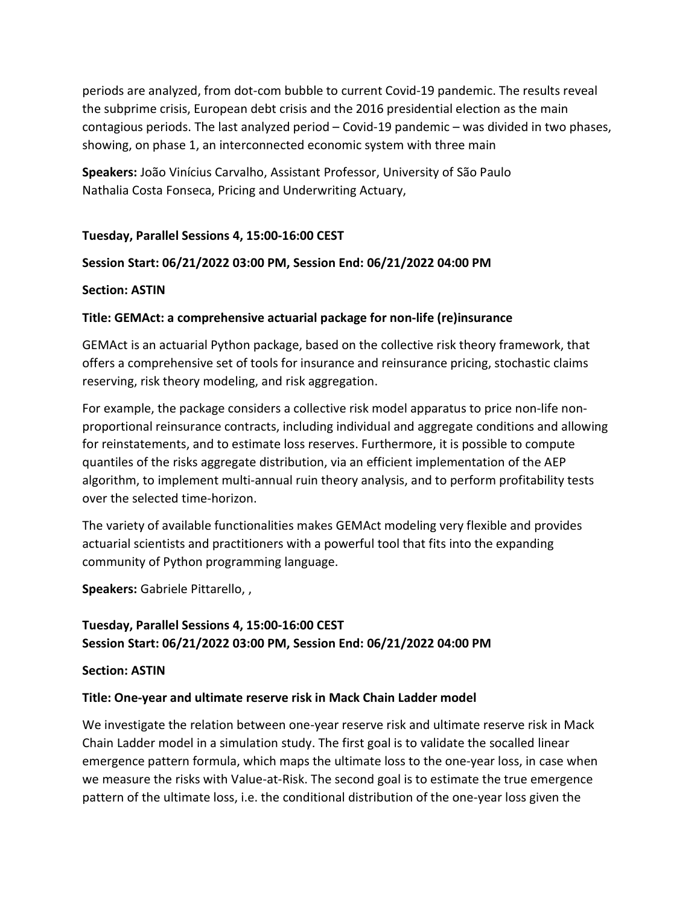periods are analyzed, from dot-com bubble to current Covid-19 pandemic. The results reveal the subprime crisis, European debt crisis and the 2016 presidential election as the main contagious periods. The last analyzed period – Covid-19 pandemic – was divided in two phases, showing, on phase 1, an interconnected economic system with three main

Speakers: João Vinícius Carvalho, Assistant Professor, University of São Paulo Nathalia Costa Fonseca, Pricing and Underwriting Actuary,

### Tuesday, Parallel Sessions 4, 15:00-16:00 CEST

### Session Start: 06/21/2022 03:00 PM, Session End: 06/21/2022 04:00 PM

#### Section: ASTIN

### Title: GEMAct: a comprehensive actuarial package for non-life (re)insurance

GEMAct is an actuarial Python package, based on the collective risk theory framework, that offers a comprehensive set of tools for insurance and reinsurance pricing, stochastic claims reserving, risk theory modeling, and risk aggregation.

For example, the package considers a collective risk model apparatus to price non-life nonproportional reinsurance contracts, including individual and aggregate conditions and allowing for reinstatements, and to estimate loss reserves. Furthermore, it is possible to compute quantiles of the risks aggregate distribution, via an efficient implementation of the AEP algorithm, to implement multi-annual ruin theory analysis, and to perform profitability tests over the selected time-horizon.

The variety of available functionalities makes GEMAct modeling very flexible and provides actuarial scientists and practitioners with a powerful tool that fits into the expanding community of Python programming language.

Speakers: Gabriele Pittarello, ,

# Tuesday, Parallel Sessions 4, 15:00-16:00 CEST Session Start: 06/21/2022 03:00 PM, Session End: 06/21/2022 04:00 PM

#### Section: ASTIN

#### Title: One-year and ultimate reserve risk in Mack Chain Ladder model

We investigate the relation between one-year reserve risk and ultimate reserve risk in Mack Chain Ladder model in a simulation study. The first goal is to validate the socalled linear emergence pattern formula, which maps the ultimate loss to the one-year loss, in case when we measure the risks with Value-at-Risk. The second goal is to estimate the true emergence pattern of the ultimate loss, i.e. the conditional distribution of the one-year loss given the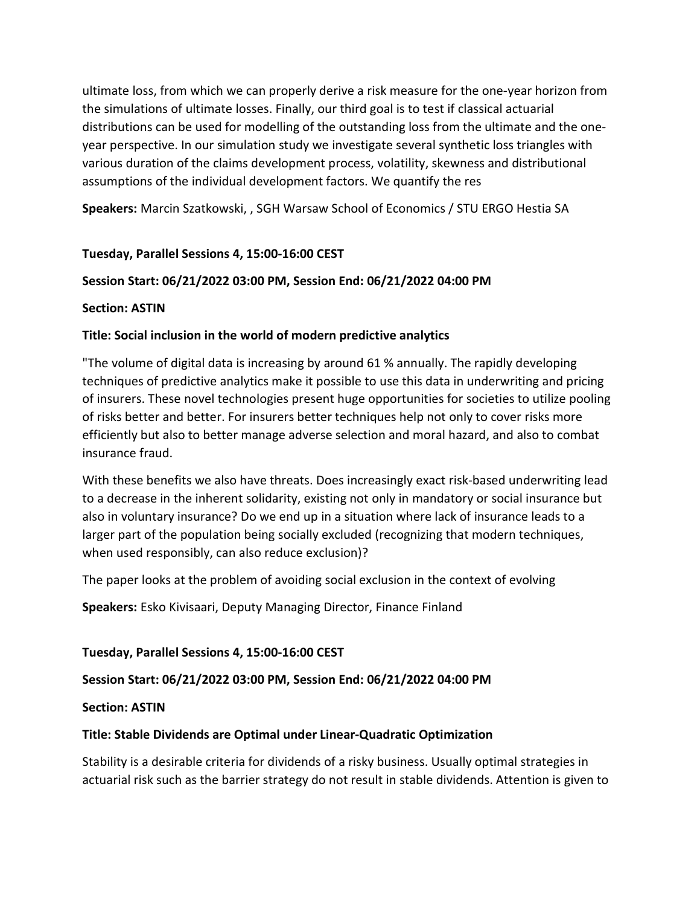ultimate loss, from which we can properly derive a risk measure for the one-year horizon from the simulations of ultimate losses. Finally, our third goal is to test if classical actuarial distributions can be used for modelling of the outstanding loss from the ultimate and the oneyear perspective. In our simulation study we investigate several synthetic loss triangles with various duration of the claims development process, volatility, skewness and distributional assumptions of the individual development factors. We quantify the res

Speakers: Marcin Szatkowski, , SGH Warsaw School of Economics / STU ERGO Hestia SA

# Tuesday, Parallel Sessions 4, 15:00-16:00 CEST

# Session Start: 06/21/2022 03:00 PM, Session End: 06/21/2022 04:00 PM

### Section: ASTIN

# Title: Social inclusion in the world of modern predictive analytics

"The volume of digital data is increasing by around 61 % annually. The rapidly developing techniques of predictive analytics make it possible to use this data in underwriting and pricing of insurers. These novel technologies present huge opportunities for societies to utilize pooling of risks better and better. For insurers better techniques help not only to cover risks more efficiently but also to better manage adverse selection and moral hazard, and also to combat insurance fraud.

With these benefits we also have threats. Does increasingly exact risk-based underwriting lead to a decrease in the inherent solidarity, existing not only in mandatory or social insurance but also in voluntary insurance? Do we end up in a situation where lack of insurance leads to a larger part of the population being socially excluded (recognizing that modern techniques, when used responsibly, can also reduce exclusion)?

The paper looks at the problem of avoiding social exclusion in the context of evolving

Speakers: Esko Kivisaari, Deputy Managing Director, Finance Finland

#### Tuesday, Parallel Sessions 4, 15:00-16:00 CEST

# Session Start: 06/21/2022 03:00 PM, Session End: 06/21/2022 04:00 PM

Section: ASTIN

#### Title: Stable Dividends are Optimal under Linear-Quadratic Optimization

Stability is a desirable criteria for dividends of a risky business. Usually optimal strategies in actuarial risk such as the barrier strategy do not result in stable dividends. Attention is given to